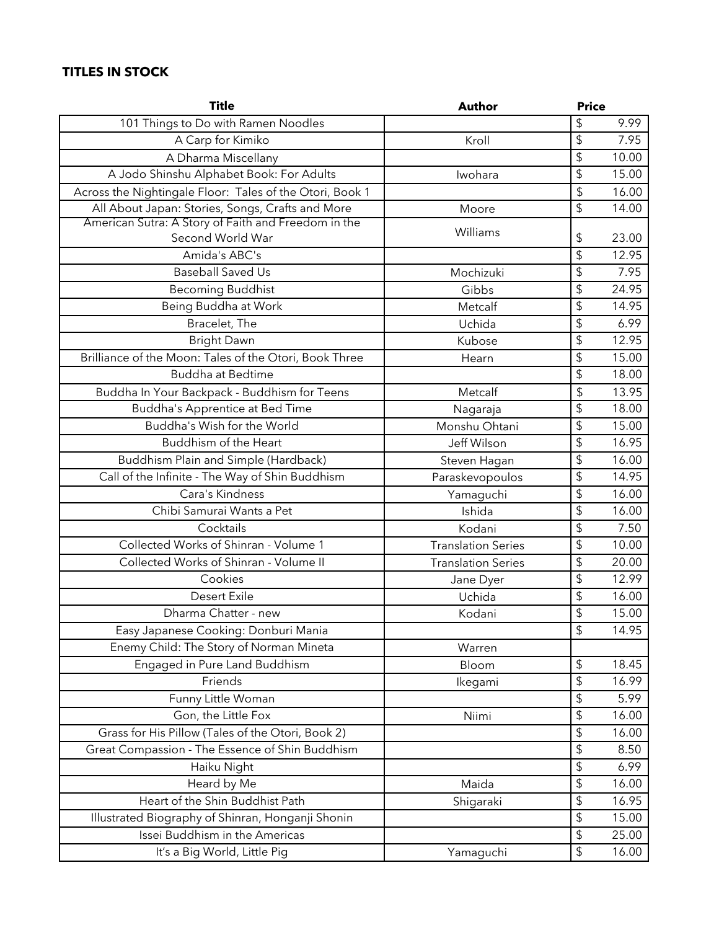## **TITLES IN STOCK**

| <b>Title</b>                                             | <b>Author</b>             |                           | <b>Price</b> |  |
|----------------------------------------------------------|---------------------------|---------------------------|--------------|--|
| 101 Things to Do with Ramen Noodles                      |                           | \$                        | 9.99         |  |
| A Carp for Kimiko                                        | Kroll                     | \$                        | 7.95         |  |
| A Dharma Miscellany                                      |                           | \$                        | 10.00        |  |
| A Jodo Shinshu Alphabet Book: For Adults                 | Iwohara                   | \$                        | 15.00        |  |
| Across the Nightingale Floor: Tales of the Otori, Book 1 |                           | \$                        | 16.00        |  |
| All About Japan: Stories, Songs, Crafts and More         | Moore                     | \$                        | 14.00        |  |
| American Sutra: A Story of Faith and Freedom in the      | Williams                  |                           |              |  |
| Second World War                                         |                           | \$                        | 23.00        |  |
| Amida's ABC's                                            |                           | \$                        | 12.95        |  |
| Baseball Saved Us                                        | Mochizuki                 | \$                        | 7.95         |  |
| <b>Becoming Buddhist</b>                                 | Gibbs                     | $\overline{\mathfrak{s}}$ | 24.95        |  |
| Being Buddha at Work                                     | Metcalf                   | $\sqrt{2}$                | 14.95        |  |
| Bracelet, The                                            | Uchida                    | \$                        | 6.99         |  |
| <b>Bright Dawn</b>                                       | Kubose                    | \$                        | 12.95        |  |
| Brilliance of the Moon: Tales of the Otori, Book Three   | Hearn                     | \$                        | 15.00        |  |
| <b>Buddha at Bedtime</b>                                 |                           | \$                        | 18.00        |  |
| Buddha In Your Backpack - Buddhism for Teens             | Metcalf                   | \$                        | 13.95        |  |
| Buddha's Apprentice at Bed Time                          | Nagaraja                  | \$                        | 18.00        |  |
| Buddha's Wish for the World                              | Monshu Ohtani             | \$                        | 15.00        |  |
| Buddhism of the Heart                                    | Jeff Wilson               | \$                        | 16.95        |  |
| Buddhism Plain and Simple (Hardback)                     | Steven Hagan              | \$                        | 16.00        |  |
| Call of the Infinite - The Way of Shin Buddhism          | Paraskevopoulos           | \$                        | 14.95        |  |
| Cara's Kindness                                          | Yamaguchi                 | \$                        | 16.00        |  |
| Chibi Samurai Wants a Pet                                | Ishida                    | \$                        | 16.00        |  |
| Cocktails                                                | Kodani                    | \$                        | 7.50         |  |
| Collected Works of Shinran - Volume 1                    | <b>Translation Series</b> | \$                        | 10.00        |  |
| Collected Works of Shinran - Volume II                   | <b>Translation Series</b> | \$                        | 20.00        |  |
| Cookies                                                  | Jane Dyer                 | \$                        | 12.99        |  |
| <b>Desert Exile</b>                                      | Uchida                    | \$                        | 16.00        |  |
| Dharma Chatter - new                                     | Kodani                    | \$                        | 15.00        |  |
| Easy Japanese Cooking: Donburi Mania                     |                           | $\updownarrow$            | 14.95        |  |
| Enemy Child: The Story of Norman Mineta                  | Warren                    |                           |              |  |
| Engaged in Pure Land Buddhism                            | Bloom                     | $\sqrt{2}$                | 18.45        |  |
| Friends                                                  | Ikegami                   | \$                        | 16.99        |  |
| Funny Little Woman                                       |                           | \$                        | 5.99         |  |
| Gon, the Little Fox                                      | Niimi                     | $\sqrt{2}$                | 16.00        |  |
| Grass for His Pillow (Tales of the Otori, Book 2)        |                           | \$                        | 16.00        |  |
| Great Compassion - The Essence of Shin Buddhism          |                           | $\sqrt{2}$                | 8.50         |  |
| Haiku Night                                              |                           | \$                        | 6.99         |  |
| Heard by Me                                              | Maida                     | $\updownarrow$            | 16.00        |  |
| Heart of the Shin Buddhist Path                          | Shigaraki                 | \$                        | 16.95        |  |
| Illustrated Biography of Shinran, Honganji Shonin        |                           | $\sqrt{2}$                | 15.00        |  |
| Issei Buddhism in the Americas                           |                           | $\sqrt{2}$                | 25.00        |  |
| It's a Big World, Little Pig                             | Yamaguchi                 | $\overline{\mathbf{P}}$   | 16.00        |  |